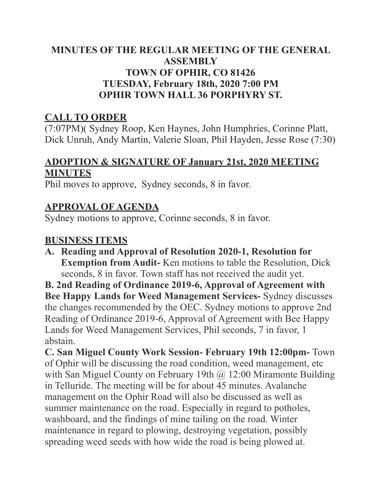## **MINUTES OF THE REGULAR MEETING OF THE GENERAL ASSEMBLY TOWN OF OPHIR, CO 81426 TUESDAY, February 18th, 2020 7:00 PM OPHIR TOWN HALL 36 PORPHYRY ST.**

# **CALL TO ORDER**

(7:07PM)( Sydney Roop, Ken Haynes, John Humphries, Corinne Platt, Dick Unruh, Andy Martin, Valerie Sloan, Phil Hayden, Jesse Rose (7:30)

## **ADOPTION & SIGNATURE OF January 21st, 2020 MEETING MINUTES**

Phil moves to approve, Sydney seconds, 8 in favor.

# **APPROVAL OF AGENDA**

Sydney motions to approve, Corinne seconds, 8 in favor.

#### **BUSINESS ITEMS**

**A. Reading and Approval of Resolution 2020-1, Resolution for Exemption from Audit-** Ken motions to table the Resolution, Dick seconds, 8 in favor. Town staff has not received the audit yet.

**B. 2nd Reading of Ordinance 2019-6, Approval of Agreement with Bee Happy Lands for Weed Management Services-** Sydney discusses the changes recommended by the OEC. Sydney motions to approve 2nd Reading of Ordinance 2019-6, Approval of Agreement with Bee Happy Lands for Weed Management Services, Phil seconds, 7 in favor, 1 abstain.

**C. San Miguel County Work Session- February 19th 12:00pm-** Town of Ophir will be discussing the road condition, weed management, etc with San Miguel County on February 19th @ 12:00 Miramonte Building in Telluride. The meeting will be for about 45 minutes. Avalanche management on the Ophir Road will also be discussed as well as summer maintenance on the road. Especially in regard to potholes, washboard, and the findings of mine tailing on the road. Winter maintenance in regard to plowing, destroying vegetation, possibly spreading weed seeds with how wide the road is being plowed at.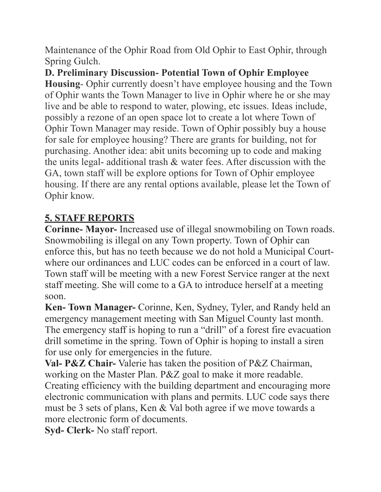Maintenance of the Ophir Road from Old Ophir to East Ophir, through Spring Gulch.

**D. Preliminary Discussion- Potential Town of Ophir Employee Housing**- Ophir currently doesn't have employee housing and the Town of Ophir wants the Town Manager to live in Ophir where he or she may live and be able to respond to water, plowing, etc issues. Ideas include, possibly a rezone of an open space lot to create a lot where Town of Ophir Town Manager may reside. Town of Ophir possibly buy a house for sale for employee housing? There are grants for building, not for purchasing. Another idea: abit units becoming up to code and making the units legal- additional trash & water fees. After discussion with the GA, town staff will be explore options for Town of Ophir employee housing. If there are any rental options available, please let the Town of Ophir know.

# **5. STAFF REPORTS**

**Corinne- Mayor-** Increased use of illegal snowmobiling on Town roads. Snowmobiling is illegal on any Town property. Town of Ophir can enforce this, but has no teeth because we do not hold a Municipal Courtwhere our ordinances and LUC codes can be enforced in a court of law. Town staff will be meeting with a new Forest Service ranger at the next staff meeting. She will come to a GA to introduce herself at a meeting soon.

**Ken- Town Manager-** Corinne, Ken, Sydney, Tyler, and Randy held an emergency management meeting with San Miguel County last month. The emergency staff is hoping to run a "drill" of a forest fire evacuation drill sometime in the spring. Town of Ophir is hoping to install a siren for use only for emergencies in the future.

**Val- P&Z Chair-** Valerie has taken the position of P&Z Chairman, working on the Master Plan. P&Z goal to make it more readable. Creating efficiency with the building department and encouraging more electronic communication with plans and permits. LUC code says there must be 3 sets of plans, Ken & Val both agree if we move towards a more electronic form of documents.

**Syd- Clerk-** No staff report.